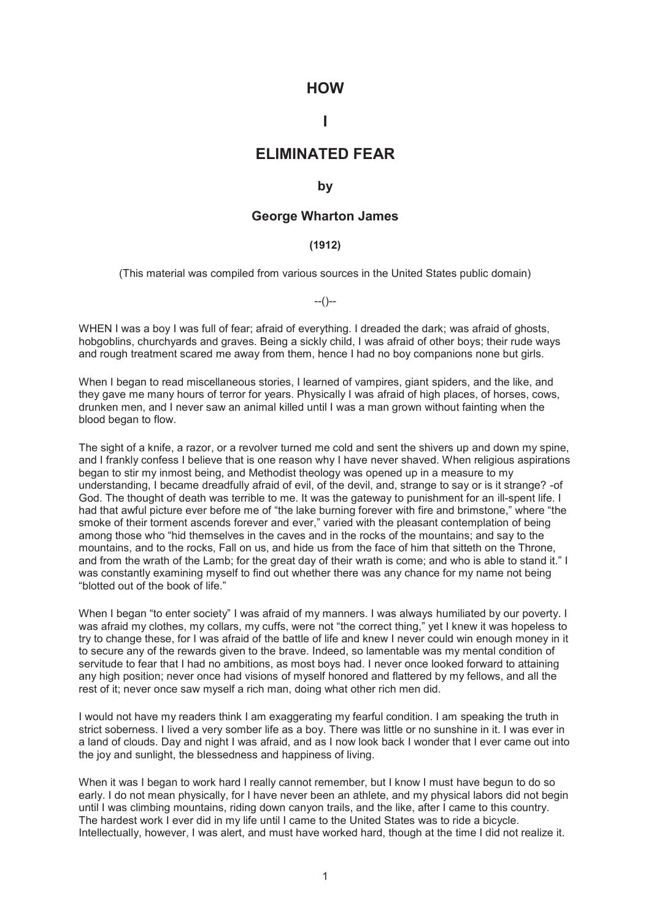### **HOW**

# **I**

## **ELIMINATED FEAR**

#### **by**

#### **George Wharton James**

#### **(1912)**

(This material was compiled from various sources in the United States public domain)

--()--

WHEN I was a boy I was full of fear; afraid of everything. I dreaded the dark; was afraid of ghosts, hobgoblins, churchyards and graves. Being a sickly child, I was afraid of other boys; their rude ways and rough treatment scared me away from them, hence I had no boy companions none but girls.

When I began to read miscellaneous stories, I learned of vampires, giant spiders, and the like, and they gave me many hours of terror for years. Physically I was afraid of high places, of horses, cows, drunken men, and I never saw an animal killed until I was a man grown without fainting when the blood began to flow.

The sight of a knife, a razor, or a revolver turned me cold and sent the shivers up and down my spine, and I frankly confess I believe that is one reason why I have never shaved. When religious aspirations began to stir my inmost being, and Methodist theology was opened up in a measure to my understanding, I became dreadfully afraid of evil, of the devil, and, strange to say or is it strange? -of God. The thought of death was terrible to me. It was the gateway to punishment for an ill-spent life. I had that awful picture ever before me of "the lake burning forever with fire and brimstone," where "the smoke of their torment ascends forever and ever," varied with the pleasant contemplation of being among those who "hid themselves in the caves and in the rocks of the mountains; and say to the mountains, and to the rocks, Fall on us, and hide us from the face of him that sitteth on the Throne, and from the wrath of the Lamb; for the great day of their wrath is come; and who is able to stand it." I was constantly examining myself to find out whether there was any chance for my name not being "blotted out of the book of life."

When I began "to enter society" I was afraid of my manners. I was always humiliated by our poverty. I was afraid my clothes, my collars, my cuffs, were not "the correct thing," yet I knew it was hopeless to try to change these, for I was afraid of the battle of life and knew I never could win enough money in it to secure any of the rewards given to the brave. Indeed, so lamentable was my mental condition of servitude to fear that I had no ambitions, as most boys had. I never once looked forward to attaining any high position; never once had visions of myself honored and flattered by my fellows, and all the rest of it; never once saw myself a rich man, doing what other rich men did.

I would not have my readers think I am exaggerating my fearful condition. I am speaking the truth in strict soberness. I lived a very somber life as a boy. There was little or no sunshine in it. I was ever in a land of clouds. Day and night I was afraid, and as I now look back I wonder that I ever came out into the joy and sunlight, the blessedness and happiness of living.

When it was I began to work hard I really cannot remember, but I know I must have begun to do so early. I do not mean physically, for I have never been an athlete, and my physical labors did not begin until I was climbing mountains, riding down canyon trails, and the like, after I came to this country. The hardest work I ever did in my life until I came to the United States was to ride a bicycle. Intellectually, however, I was alert, and must have worked hard, though at the time I did not realize it.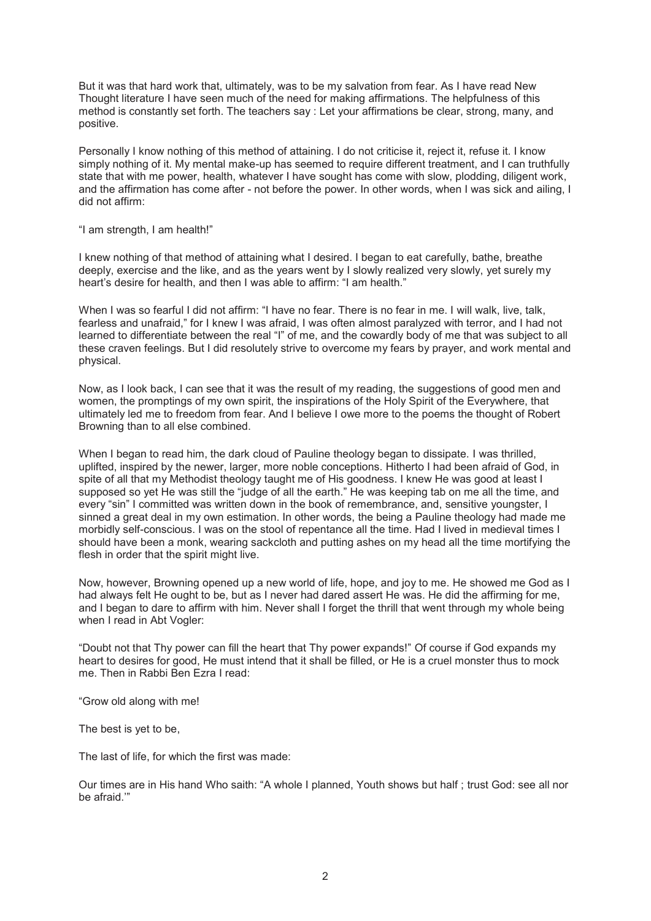But it was that hard work that, ultimately, was to be my salvation from fear. As I have read New Thought literature I have seen much of the need for making affirmations. The helpfulness of this method is constantly set forth. The teachers say : Let your affirmations be clear, strong, many, and positive.

Personally I know nothing of this method of attaining. I do not criticise it, reject it, refuse it. I know simply nothing of it. My mental make-up has seemed to require different treatment, and I can truthfully state that with me power, health, whatever I have sought has come with slow, plodding, diligent work, and the affirmation has come after - not before the power. In other words, when I was sick and ailing, I did not affirm:

"I am strength, I am health!"

I knew nothing of that method of attaining what I desired. I began to eat carefully, bathe, breathe deeply, exercise and the like, and as the years went by I slowly realized very slowly, yet surely my heart's desire for health, and then I was able to affirm: "I am health."

When I was so fearful I did not affirm: "I have no fear. There is no fear in me. I will walk, live, talk, fearless and unafraid," for I knew I was afraid, I was often almost paralyzed with terror, and I had not learned to differentiate between the real "I" of me, and the cowardly body of me that was subject to all these craven feelings. But I did resolutely strive to overcome my fears by prayer, and work mental and physical.

Now, as I look back, I can see that it was the result of my reading, the suggestions of good men and women, the promptings of my own spirit, the inspirations of the Holy Spirit of the Everywhere, that ultimately led me to freedom from fear. And I believe I owe more to the poems the thought of Robert Browning than to all else combined.

When I began to read him, the dark cloud of Pauline theology began to dissipate. I was thrilled, uplifted, inspired by the newer, larger, more noble conceptions. Hitherto I had been afraid of God, in spite of all that my Methodist theology taught me of His goodness. I knew He was good at least I supposed so yet He was still the "judge of all the earth." He was keeping tab on me all the time, and every "sin" I committed was written down in the book of remembrance, and, sensitive youngster, I sinned a great deal in my own estimation. In other words, the being a Pauline theology had made me morbidly self-conscious. I was on the stool of repentance all the time. Had I lived in medieval times I should have been a monk, wearing sackcloth and putting ashes on my head all the time mortifying the flesh in order that the spirit might live.

Now, however, Browning opened up a new world of life, hope, and joy to me. He showed me God as I had always felt He ought to be, but as I never had dared assert He was. He did the affirming for me, and I began to dare to affirm with him. Never shall I forget the thrill that went through my whole being when I read in Abt Vogler:

"Doubt not that Thy power can fill the heart that Thy power expands!" Of course if God expands my heart to desires for good, He must intend that it shall be filled, or He is a cruel monster thus to mock me. Then in Rabbi Ben Ezra I read:

"Grow old along with me!

The best is yet to be,

The last of life, for which the first was made:

Our times are in His hand Who saith: "A whole I planned, Youth shows but half ; trust God: see all nor be afraid.'"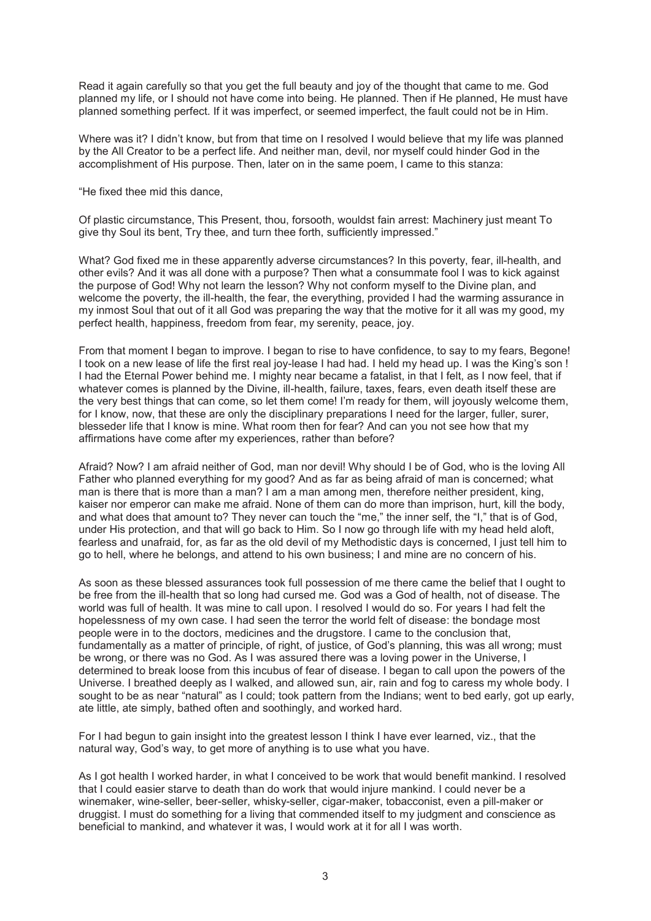Read it again carefully so that you get the full beauty and joy of the thought that came to me. God planned my life, or I should not have come into being. He planned. Then if He planned, He must have planned something perfect. If it was imperfect, or seemed imperfect, the fault could not be in Him.

Where was it? I didn't know, but from that time on I resolved I would believe that my life was planned by the All Creator to be a perfect life. And neither man, devil, nor myself could hinder God in the accomplishment of His purpose. Then, later on in the same poem, I came to this stanza:

"He fixed thee mid this dance,

Of plastic circumstance, This Present, thou, forsooth, wouldst fain arrest: Machinery just meant To give thy Soul its bent, Try thee, and turn thee forth, sufficiently impressed."

What? God fixed me in these apparently adverse circumstances? In this poverty, fear, ill-health, and other evils? And it was all done with a purpose? Then what a consummate fool I was to kick against the purpose of God! Why not learn the lesson? Why not conform myself to the Divine plan, and welcome the poverty, the ill-health, the fear, the everything, provided I had the warming assurance in my inmost Soul that out of it all God was preparing the way that the motive for it all was my good, my perfect health, happiness, freedom from fear, my serenity, peace, joy.

From that moment I began to improve. I began to rise to have confidence, to say to my fears, Begone! I took on a new lease of life the first real joy-lease I had had. I held my head up. I was the King's son ! I had the Eternal Power behind me. I mighty near became a fatalist, in that I felt, as I now feel, that if whatever comes is planned by the Divine, ill-health, failure, taxes, fears, even death itself these are the very best things that can come, so let them come! I'm ready for them, will joyously welcome them, for I know, now, that these are only the disciplinary preparations I need for the larger, fuller, surer, blesseder life that I know is mine. What room then for fear? And can you not see how that my affirmations have come after my experiences, rather than before?

Afraid? Now? I am afraid neither of God, man nor devil! Why should I be of God, who is the loving All Father who planned everything for my good? And as far as being afraid of man is concerned; what man is there that is more than a man? I am a man among men, therefore neither president, king, kaiser nor emperor can make me afraid. None of them can do more than imprison, hurt, kill the body, and what does that amount to? They never can touch the "me," the inner self, the "I," that is of God, under His protection, and that will go back to Him. So I now go through life with my head held aloft, fearless and unafraid, for, as far as the old devil of my Methodistic days is concerned, I just tell him to go to hell, where he belongs, and attend to his own business; I and mine are no concern of his.

As soon as these blessed assurances took full possession of me there came the belief that I ought to be free from the ill-health that so long had cursed me. God was a God of health, not of disease. The world was full of health. It was mine to call upon. I resolved I would do so. For years I had felt the hopelessness of my own case. I had seen the terror the world felt of disease: the bondage most people were in to the doctors, medicines and the drugstore. I came to the conclusion that, fundamentally as a matter of principle, of right, of justice, of God's planning, this was all wrong; must be wrong, or there was no God. As I was assured there was a loving power in the Universe, I determined to break loose from this incubus of fear of disease. I began to call upon the powers of the Universe. I breathed deeply as I walked, and allowed sun, air, rain and fog to caress my whole body. I sought to be as near "natural" as I could; took pattern from the Indians; went to bed early, got up early, ate little, ate simply, bathed often and soothingly, and worked hard.

For I had begun to gain insight into the greatest lesson I think I have ever learned, viz., that the natural way, God's way, to get more of anything is to use what you have.

As I got health I worked harder, in what I conceived to be work that would benefit mankind. I resolved that I could easier starve to death than do work that would injure mankind. I could never be a winemaker, wine-seller, beer-seller, whisky-seller, cigar-maker, tobacconist, even a pill-maker or druggist. I must do something for a living that commended itself to my judgment and conscience as beneficial to mankind, and whatever it was, I would work at it for all I was worth.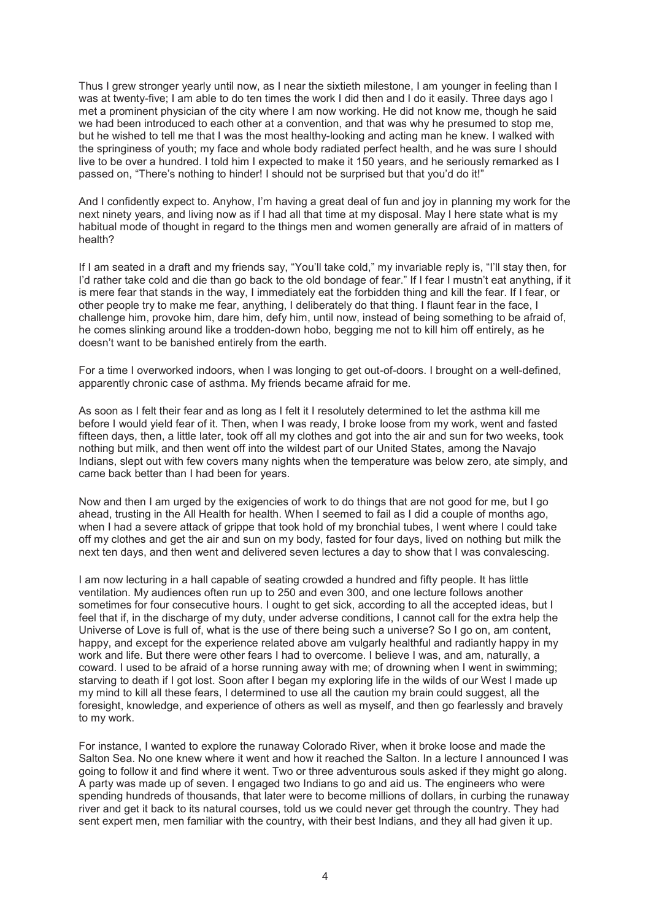Thus I grew stronger yearly until now, as I near the sixtieth milestone, I am younger in feeling than I was at twenty-five; I am able to do ten times the work I did then and I do it easily. Three days ago I met a prominent physician of the city where I am now working. He did not know me, though he said we had been introduced to each other at a convention, and that was why he presumed to stop me, but he wished to tell me that I was the most healthy-looking and acting man he knew. I walked with the springiness of youth; my face and whole body radiated perfect health, and he was sure I should live to be over a hundred. I told him I expected to make it 150 years, and he seriously remarked as I passed on, "There's nothing to hinder! I should not be surprised but that you'd do it!"

And I confidently expect to. Anyhow, I'm having a great deal of fun and joy in planning my work for the next ninety years, and living now as if I had all that time at my disposal. May I here state what is my habitual mode of thought in regard to the things men and women generally are afraid of in matters of health?

If I am seated in a draft and my friends say, "You'll take cold," my invariable reply is, "I'll stay then, for I'd rather take cold and die than go back to the old bondage of fear." If I fear I mustn't eat anything, if it is mere fear that stands in the way, I immediately eat the forbidden thing and kill the fear. If I fear, or other people try to make me fear, anything, I deliberately do that thing. I flaunt fear in the face, I challenge him, provoke him, dare him, defy him, until now, instead of being something to be afraid of, he comes slinking around like a trodden-down hobo, begging me not to kill him off entirely, as he doesn't want to be banished entirely from the earth.

For a time I overworked indoors, when I was longing to get out-of-doors. I brought on a well-defined, apparently chronic case of asthma. My friends became afraid for me.

As soon as I felt their fear and as long as I felt it I resolutely determined to let the asthma kill me before I would yield fear of it. Then, when I was ready, I broke loose from my work, went and fasted fifteen days, then, a little later, took off all my clothes and got into the air and sun for two weeks, took nothing but milk, and then went off into the wildest part of our United States, among the Navajo Indians, slept out with few covers many nights when the temperature was below zero, ate simply, and came back better than I had been for years.

Now and then I am urged by the exigencies of work to do things that are not good for me, but I go ahead, trusting in the All Health for health. When I seemed to fail as I did a couple of months ago, when I had a severe attack of grippe that took hold of my bronchial tubes, I went where I could take off my clothes and get the air and sun on my body, fasted for four days, lived on nothing but milk the next ten days, and then went and delivered seven lectures a day to show that I was convalescing.

I am now lecturing in a hall capable of seating crowded a hundred and fifty people. It has little ventilation. My audiences often run up to 250 and even 300, and one lecture follows another sometimes for four consecutive hours. I ought to get sick, according to all the accepted ideas, but I feel that if, in the discharge of my duty, under adverse conditions, I cannot call for the extra help the Universe of Love is full of, what is the use of there being such a universe? So I go on, am content, happy, and except for the experience related above am vulgarly healthful and radiantly happy in my work and life. But there were other fears I had to overcome. I believe I was, and am, naturally, a coward. I used to be afraid of a horse running away with me; of drowning when I went in swimming; starving to death if I got lost. Soon after I began my exploring life in the wilds of our West I made up my mind to kill all these fears, I determined to use all the caution my brain could suggest, all the foresight, knowledge, and experience of others as well as myself, and then go fearlessly and bravely to my work.

For instance, I wanted to explore the runaway Colorado River, when it broke loose and made the Salton Sea. No one knew where it went and how it reached the Salton. In a lecture I announced I was going to follow it and find where it went. Two or three adventurous souls asked if they might go along. A party was made up of seven. I engaged two Indians to go and aid us. The engineers who were spending hundreds of thousands, that later were to become millions of dollars, in curbing the runaway river and get it back to its natural courses, told us we could never get through the country. They had sent expert men, men familiar with the country, with their best Indians, and they all had given it up.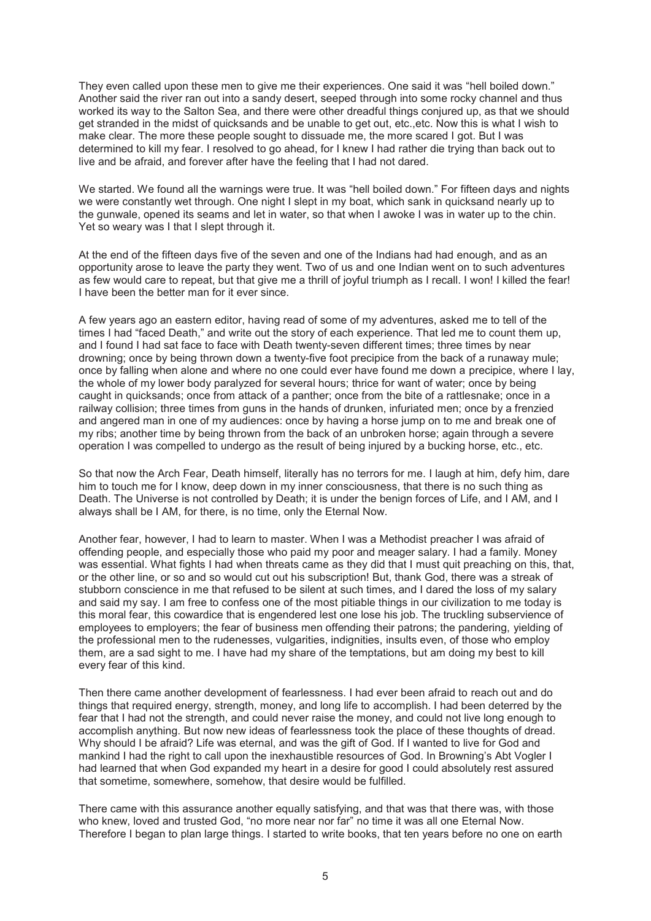They even called upon these men to give me their experiences. One said it was "hell boiled down." Another said the river ran out into a sandy desert, seeped through into some rocky channel and thus worked its way to the Salton Sea, and there were other dreadful things conjured up, as that we should get stranded in the midst of quicksands and be unable to get out, etc.,etc. Now this is what I wish to make clear. The more these people sought to dissuade me, the more scared I got. But I was determined to kill my fear. I resolved to go ahead, for I knew I had rather die trying than back out to live and be afraid, and forever after have the feeling that I had not dared.

We started. We found all the warnings were true. It was "hell boiled down." For fifteen days and nights we were constantly wet through. One night I slept in my boat, which sank in quicksand nearly up to the gunwale, opened its seams and let in water, so that when I awoke I was in water up to the chin. Yet so weary was I that I slept through it.

At the end of the fifteen days five of the seven and one of the Indians had had enough, and as an opportunity arose to leave the party they went. Two of us and one Indian went on to such adventures as few would care to repeat, but that give me a thrill of joyful triumph as I recall. I won! I killed the fear! I have been the better man for it ever since.

A few years ago an eastern editor, having read of some of my adventures, asked me to tell of the times I had "faced Death," and write out the story of each experience. That led me to count them up, and I found I had sat face to face with Death twenty-seven different times; three times by near drowning; once by being thrown down a twenty-five foot precipice from the back of a runaway mule; once by falling when alone and where no one could ever have found me down a precipice, where I lay, the whole of my lower body paralyzed for several hours; thrice for want of water; once by being caught in quicksands; once from attack of a panther; once from the bite of a rattlesnake; once in a railway collision; three times from guns in the hands of drunken, infuriated men; once by a frenzied and angered man in one of my audiences: once by having a horse jump on to me and break one of my ribs; another time by being thrown from the back of an unbroken horse; again through a severe operation I was compelled to undergo as the result of being injured by a bucking horse, etc., etc.

So that now the Arch Fear, Death himself, literally has no terrors for me. I laugh at him, defy him, dare him to touch me for I know, deep down in my inner consciousness, that there is no such thing as Death. The Universe is not controlled by Death; it is under the benign forces of Life, and I AM, and I always shall be I AM, for there, is no time, only the Eternal Now.

Another fear, however, I had to learn to master. When I was a Methodist preacher I was afraid of offending people, and especially those who paid my poor and meager salary. I had a family. Money was essential. What fights I had when threats came as they did that I must quit preaching on this, that, or the other line, or so and so would cut out his subscription! But, thank God, there was a streak of stubborn conscience in me that refused to be silent at such times, and I dared the loss of my salary and said my say. I am free to confess one of the most pitiable things in our civilization to me today is this moral fear, this cowardice that is engendered lest one lose his job. The truckling subservience of employees to employers; the fear of business men offending their patrons; the pandering, yielding of the professional men to the rudenesses, vulgarities, indignities, insults even, of those who employ them, are a sad sight to me. I have had my share of the temptations, but am doing my best to kill every fear of this kind.

Then there came another development of fearlessness. I had ever been afraid to reach out and do things that required energy, strength, money, and long life to accomplish. I had been deterred by the fear that I had not the strength, and could never raise the money, and could not live long enough to accomplish anything. But now new ideas of fearlessness took the place of these thoughts of dread. Why should I be afraid? Life was eternal, and was the gift of God. If I wanted to live for God and mankind I had the right to call upon the inexhaustible resources of God. In Browning's Abt Vogler I had learned that when God expanded my heart in a desire for good I could absolutely rest assured that sometime, somewhere, somehow, that desire would be fulfilled.

There came with this assurance another equally satisfying, and that was that there was, with those who knew, loved and trusted God, "no more near nor far" no time it was all one Eternal Now. Therefore I began to plan large things. I started to write books, that ten years before no one on earth